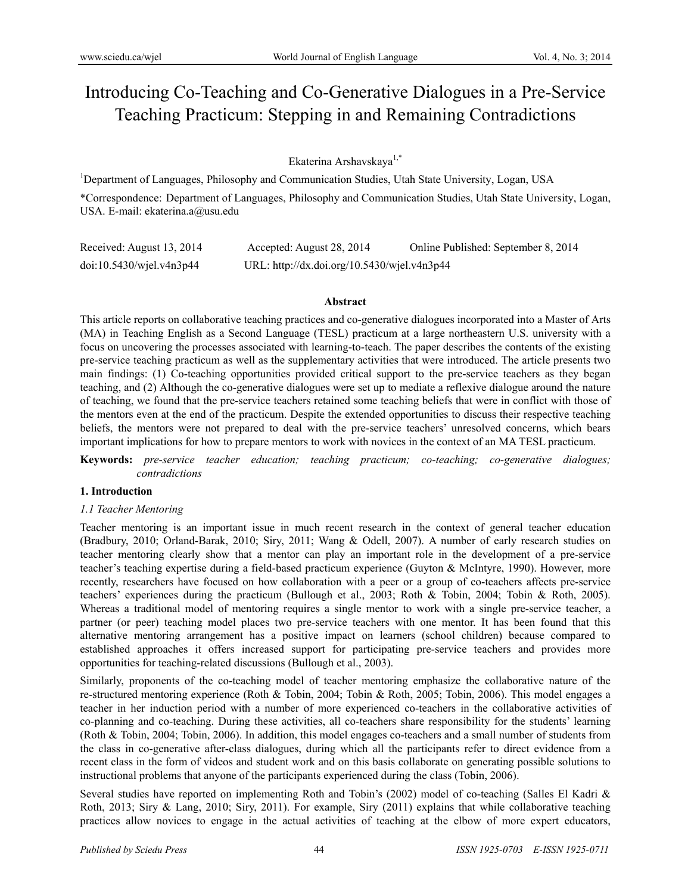# Introducing Co-Teaching and Co-Generative Dialogues in a Pre-Service Teaching Practicum: Stepping in and Remaining Contradictions

Ekaterina Arshavskaya1,\*

<sup>1</sup>Department of Languages, Philosophy and Communication Studies, Utah State University, Logan, USA \*Correspondence: Department of Languages, Philosophy and Communication Studies, Utah State University, Logan, USA. E-mail: ekaterina.a@usu.edu

| Received: August 13, 2014   | Accepted: August 28, 2014                   | Online Published: September 8, 2014 |
|-----------------------------|---------------------------------------------|-------------------------------------|
| $doi:10.5430/w$ jel.v4n3p44 | URL: http://dx.doi.org/10.5430/wjel.v4n3p44 |                                     |

#### **Abstract**

This article reports on collaborative teaching practices and co-generative dialogues incorporated into a Master of Arts (MA) in Teaching English as a Second Language (TESL) practicum at a large northeastern U.S. university with a focus on uncovering the processes associated with learning-to-teach. The paper describes the contents of the existing pre-service teaching practicum as well as the supplementary activities that were introduced. The article presents two main findings: (1) Co-teaching opportunities provided critical support to the pre-service teachers as they began teaching, and (2) Although the co-generative dialogues were set up to mediate a reflexive dialogue around the nature of teaching, we found that the pre-service teachers retained some teaching beliefs that were in conflict with those of the mentors even at the end of the practicum. Despite the extended opportunities to discuss their respective teaching beliefs, the mentors were not prepared to deal with the pre-service teachers' unresolved concerns, which bears important implications for how to prepare mentors to work with novices in the context of an MA TESL practicum.

# **Keywords:** *pre-service teacher education; teaching practicum; co-teaching; co-generative dialogues; contradictions*

## **1. Introduction**

## *1.1 Teacher Mentoring*

Teacher mentoring is an important issue in much recent research in the context of general teacher education (Bradbury, 2010; Orland-Barak, 2010; Siry, 2011; Wang & Odell, 2007). A number of early research studies on teacher mentoring clearly show that a mentor can play an important role in the development of a pre-service teacher's teaching expertise during a field-based practicum experience (Guyton & McIntyre, 1990). However, more recently, researchers have focused on how collaboration with a peer or a group of co-teachers affects pre-service teachers' experiences during the practicum (Bullough et al., 2003; Roth & Tobin, 2004; Tobin & Roth, 2005). Whereas a traditional model of mentoring requires a single mentor to work with a single pre-service teacher, a partner (or peer) teaching model places two pre-service teachers with one mentor. It has been found that this alternative mentoring arrangement has a positive impact on learners (school children) because compared to established approaches it offers increased support for participating pre-service teachers and provides more opportunities for teaching-related discussions (Bullough et al., 2003).

Similarly, proponents of the co-teaching model of teacher mentoring emphasize the collaborative nature of the re-structured mentoring experience (Roth & Tobin, 2004; Tobin & Roth, 2005; Tobin, 2006). This model engages a teacher in her induction period with a number of more experienced co-teachers in the collaborative activities of co-planning and co-teaching. During these activities, all co-teachers share responsibility for the students' learning (Roth & Tobin, 2004; Tobin, 2006). In addition, this model engages co-teachers and a small number of students from the class in co-generative after-class dialogues, during which all the participants refer to direct evidence from a recent class in the form of videos and student work and on this basis collaborate on generating possible solutions to instructional problems that anyone of the participants experienced during the class (Tobin, 2006).

Several studies have reported on implementing Roth and Tobin's (2002) model of co-teaching (Salles El Kadri & Roth, 2013; Siry & Lang, 2010; Siry, 2011). For example, Siry (2011) explains that while collaborative teaching practices allow novices to engage in the actual activities of teaching at the elbow of more expert educators,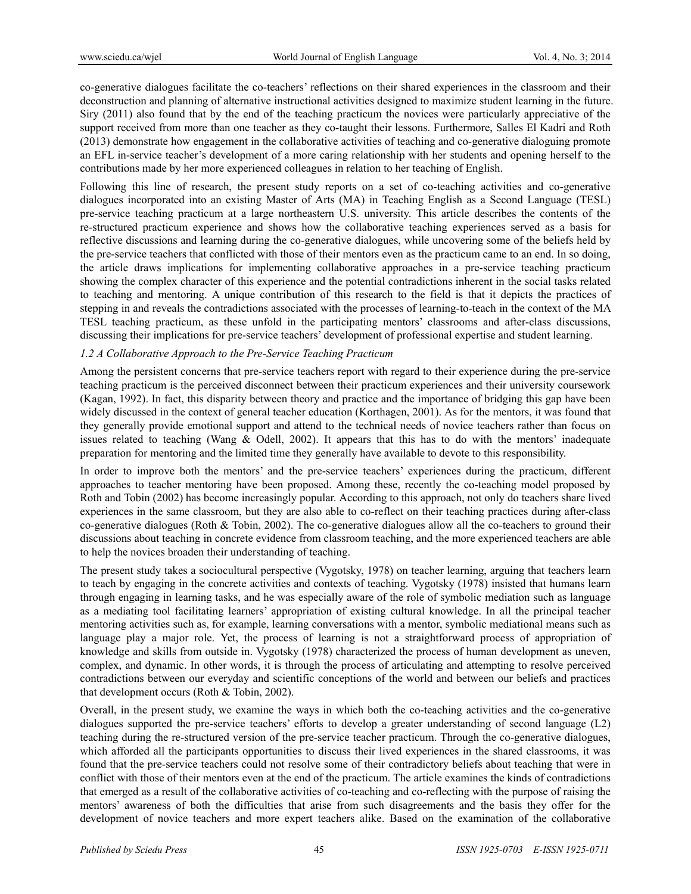co-generative dialogues facilitate the co-teachers' reflections on their shared experiences in the classroom and their deconstruction and planning of alternative instructional activities designed to maximize student learning in the future. Siry (2011) also found that by the end of the teaching practicum the novices were particularly appreciative of the support received from more than one teacher as they co-taught their lessons. Furthermore, Salles El Kadri and Roth (2013) demonstrate how engagement in the collaborative activities of teaching and co-generative dialoguing promote an EFL in-service teacher's development of a more caring relationship with her students and opening herself to the contributions made by her more experienced colleagues in relation to her teaching of English.

Following this line of research, the present study reports on a set of co-teaching activities and co-generative dialogues incorporated into an existing Master of Arts (MA) in Teaching English as a Second Language (TESL) pre-service teaching practicum at a large northeastern U.S. university. This article describes the contents of the re-structured practicum experience and shows how the collaborative teaching experiences served as a basis for reflective discussions and learning during the co-generative dialogues, while uncovering some of the beliefs held by the pre-service teachers that conflicted with those of their mentors even as the practicum came to an end. In so doing, the article draws implications for implementing collaborative approaches in a pre-service teaching practicum showing the complex character of this experience and the potential contradictions inherent in the social tasks related to teaching and mentoring. A unique contribution of this research to the field is that it depicts the practices of stepping in and reveals the contradictions associated with the processes of learning-to-teach in the context of the MA TESL teaching practicum, as these unfold in the participating mentors' classrooms and after-class discussions, discussing their implications for pre-service teachers' development of professional expertise and student learning.

# *1.2 A Collaborative Approach to the Pre-Service Teaching Practicum*

Among the persistent concerns that pre-service teachers report with regard to their experience during the pre-service teaching practicum is the perceived disconnect between their practicum experiences and their university coursework (Kagan, 1992). In fact, this disparity between theory and practice and the importance of bridging this gap have been widely discussed in the context of general teacher education (Korthagen, 2001). As for the mentors, it was found that they generally provide emotional support and attend to the technical needs of novice teachers rather than focus on issues related to teaching (Wang & Odell, 2002). It appears that this has to do with the mentors' inadequate preparation for mentoring and the limited time they generally have available to devote to this responsibility.

In order to improve both the mentors' and the pre-service teachers' experiences during the practicum, different approaches to teacher mentoring have been proposed. Among these, recently the co-teaching model proposed by Roth and Tobin (2002) has become increasingly popular. According to this approach, not only do teachers share lived experiences in the same classroom, but they are also able to co-reflect on their teaching practices during after-class co-generative dialogues (Roth & Tobin, 2002). The co-generative dialogues allow all the co-teachers to ground their discussions about teaching in concrete evidence from classroom teaching, and the more experienced teachers are able to help the novices broaden their understanding of teaching.

The present study takes a sociocultural perspective (Vygotsky, 1978) on teacher learning, arguing that teachers learn to teach by engaging in the concrete activities and contexts of teaching. Vygotsky (1978) insisted that humans learn through engaging in learning tasks, and he was especially aware of the role of symbolic mediation such as language as a mediating tool facilitating learners' appropriation of existing cultural knowledge. In all the principal teacher mentoring activities such as, for example, learning conversations with a mentor, symbolic mediational means such as language play a major role. Yet, the process of learning is not a straightforward process of appropriation of knowledge and skills from outside in. Vygotsky (1978) characterized the process of human development as uneven, complex, and dynamic. In other words, it is through the process of articulating and attempting to resolve perceived contradictions between our everyday and scientific conceptions of the world and between our beliefs and practices that development occurs (Roth & Tobin, 2002).

Overall, in the present study, we examine the ways in which both the co-teaching activities and the co-generative dialogues supported the pre-service teachers' efforts to develop a greater understanding of second language (L2) teaching during the re-structured version of the pre-service teacher practicum. Through the co-generative dialogues, which afforded all the participants opportunities to discuss their lived experiences in the shared classrooms, it was found that the pre-service teachers could not resolve some of their contradictory beliefs about teaching that were in conflict with those of their mentors even at the end of the practicum. The article examines the kinds of contradictions that emerged as a result of the collaborative activities of co-teaching and co-reflecting with the purpose of raising the mentors' awareness of both the difficulties that arise from such disagreements and the basis they offer for the development of novice teachers and more expert teachers alike. Based on the examination of the collaborative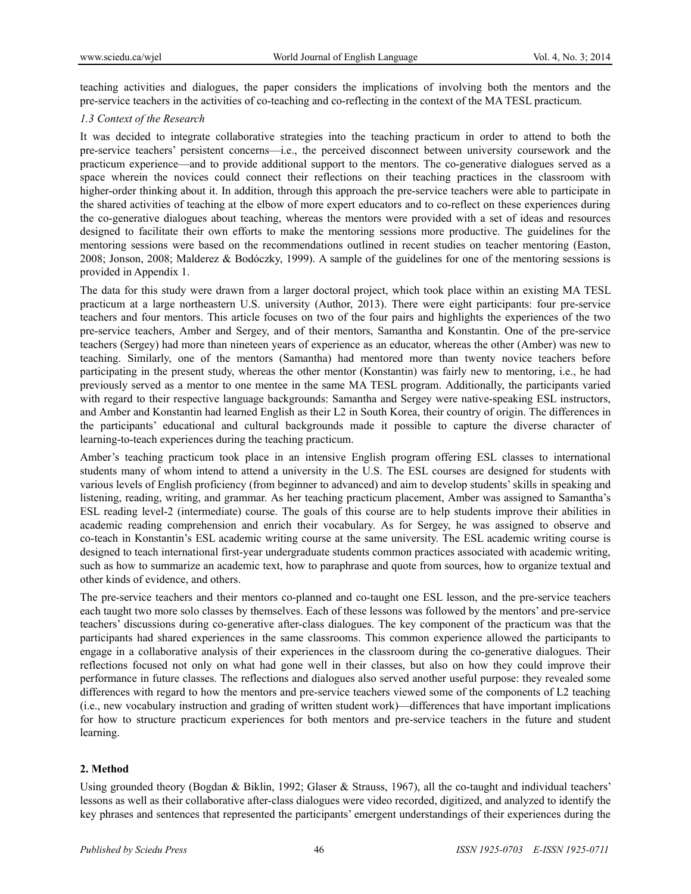teaching activities and dialogues, the paper considers the implications of involving both the mentors and the pre-service teachers in the activities of co-teaching and co-reflecting in the context of the MA TESL practicum.

## *1.3 Context of the Research*

It was decided to integrate collaborative strategies into the teaching practicum in order to attend to both the pre-service teachers' persistent concerns—i.e., the perceived disconnect between university coursework and the practicum experience—and to provide additional support to the mentors. The co-generative dialogues served as a space wherein the novices could connect their reflections on their teaching practices in the classroom with higher-order thinking about it. In addition, through this approach the pre-service teachers were able to participate in the shared activities of teaching at the elbow of more expert educators and to co-reflect on these experiences during the co-generative dialogues about teaching, whereas the mentors were provided with a set of ideas and resources designed to facilitate their own efforts to make the mentoring sessions more productive. The guidelines for the mentoring sessions were based on the recommendations outlined in recent studies on teacher mentoring (Easton, 2008; Jonson, 2008; Malderez & Bodóczky, 1999). A sample of the guidelines for one of the mentoring sessions is provided in Appendix 1.

The data for this study were drawn from a larger doctoral project, which took place within an existing MA TESL practicum at a large northeastern U.S. university (Author, 2013). There were eight participants: four pre-service teachers and four mentors. This article focuses on two of the four pairs and highlights the experiences of the two pre-service teachers, Amber and Sergey, and of their mentors, Samantha and Konstantin. One of the pre-service teachers (Sergey) had more than nineteen years of experience as an educator, whereas the other (Amber) was new to teaching. Similarly, one of the mentors (Samantha) had mentored more than twenty novice teachers before participating in the present study, whereas the other mentor (Konstantin) was fairly new to mentoring, i.e., he had previously served as a mentor to one mentee in the same MA TESL program. Additionally, the participants varied with regard to their respective language backgrounds: Samantha and Sergey were native-speaking ESL instructors, and Amber and Konstantin had learned English as their L2 in South Korea, their country of origin. The differences in the participants' educational and cultural backgrounds made it possible to capture the diverse character of learning-to-teach experiences during the teaching practicum.

Amber's teaching practicum took place in an intensive English program offering ESL classes to international students many of whom intend to attend a university in the U.S. The ESL courses are designed for students with various levels of English proficiency (from beginner to advanced) and aim to develop students' skills in speaking and listening, reading, writing, and grammar. As her teaching practicum placement, Amber was assigned to Samantha's ESL reading level-2 (intermediate) course. The goals of this course are to help students improve their abilities in academic reading comprehension and enrich their vocabulary. As for Sergey, he was assigned to observe and co-teach in Konstantin's ESL academic writing course at the same university. The ESL academic writing course is designed to teach international first-year undergraduate students common practices associated with academic writing, such as how to summarize an academic text, how to paraphrase and quote from sources, how to organize textual and other kinds of evidence, and others.

The pre-service teachers and their mentors co-planned and co-taught one ESL lesson, and the pre-service teachers each taught two more solo classes by themselves. Each of these lessons was followed by the mentors' and pre-service teachers' discussions during co-generative after-class dialogues. The key component of the practicum was that the participants had shared experiences in the same classrooms. This common experience allowed the participants to engage in a collaborative analysis of their experiences in the classroom during the co-generative dialogues. Their reflections focused not only on what had gone well in their classes, but also on how they could improve their performance in future classes. The reflections and dialogues also served another useful purpose: they revealed some differences with regard to how the mentors and pre-service teachers viewed some of the components of L2 teaching (i.e., new vocabulary instruction and grading of written student work)—differences that have important implications for how to structure practicum experiences for both mentors and pre-service teachers in the future and student learning.

# **2. Method**

Using grounded theory (Bogdan & Biklin, 1992; Glaser & Strauss, 1967), all the co-taught and individual teachers' lessons as well as their collaborative after-class dialogues were video recorded, digitized, and analyzed to identify the key phrases and sentences that represented the participants' emergent understandings of their experiences during the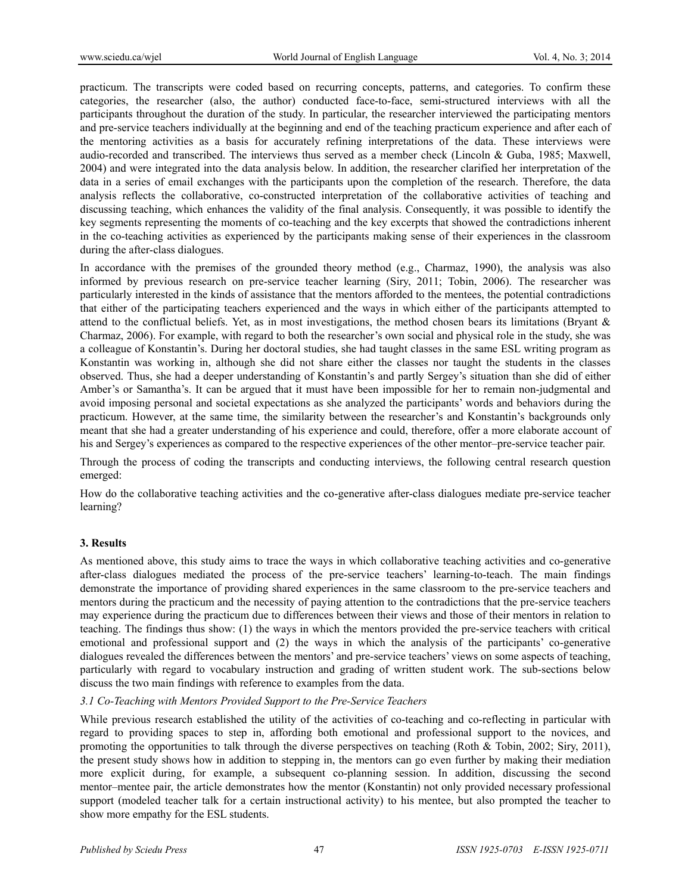practicum. The transcripts were coded based on recurring concepts, patterns, and categories. To confirm these categories, the researcher (also, the author) conducted face-to-face, semi-structured interviews with all the participants throughout the duration of the study. In particular, the researcher interviewed the participating mentors and pre-service teachers individually at the beginning and end of the teaching practicum experience and after each of the mentoring activities as a basis for accurately refining interpretations of the data. These interviews were audio-recorded and transcribed. The interviews thus served as a member check (Lincoln & Guba, 1985; Maxwell, 2004) and were integrated into the data analysis below. In addition, the researcher clarified her interpretation of the data in a series of email exchanges with the participants upon the completion of the research. Therefore, the data analysis reflects the collaborative, co-constructed interpretation of the collaborative activities of teaching and discussing teaching, which enhances the validity of the final analysis. Consequently, it was possible to identify the key segments representing the moments of co-teaching and the key excerpts that showed the contradictions inherent in the co-teaching activities as experienced by the participants making sense of their experiences in the classroom during the after-class dialogues.

In accordance with the premises of the grounded theory method (e.g., Charmaz, 1990), the analysis was also informed by previous research on pre-service teacher learning (Siry, 2011; Tobin, 2006). The researcher was particularly interested in the kinds of assistance that the mentors afforded to the mentees, the potential contradictions that either of the participating teachers experienced and the ways in which either of the participants attempted to attend to the conflictual beliefs. Yet, as in most investigations, the method chosen bears its limitations (Bryant & Charmaz, 2006). For example, with regard to both the researcher's own social and physical role in the study, she was a colleague of Konstantin's. During her doctoral studies, she had taught classes in the same ESL writing program as Konstantin was working in, although she did not share either the classes nor taught the students in the classes observed. Thus, she had a deeper understanding of Konstantin's and partly Sergey's situation than she did of either Amber's or Samantha's. It can be argued that it must have been impossible for her to remain non-judgmental and avoid imposing personal and societal expectations as she analyzed the participants' words and behaviors during the practicum. However, at the same time, the similarity between the researcher's and Konstantin's backgrounds only meant that she had a greater understanding of his experience and could, therefore, offer a more elaborate account of his and Sergey's experiences as compared to the respective experiences of the other mentor–pre-service teacher pair.

Through the process of coding the transcripts and conducting interviews, the following central research question emerged:

How do the collaborative teaching activities and the co-generative after-class dialogues mediate pre-service teacher learning?

## **3. Results**

As mentioned above, this study aims to trace the ways in which collaborative teaching activities and co-generative after-class dialogues mediated the process of the pre-service teachers' learning-to-teach. The main findings demonstrate the importance of providing shared experiences in the same classroom to the pre-service teachers and mentors during the practicum and the necessity of paying attention to the contradictions that the pre-service teachers may experience during the practicum due to differences between their views and those of their mentors in relation to teaching. The findings thus show: (1) the ways in which the mentors provided the pre-service teachers with critical emotional and professional support and (2) the ways in which the analysis of the participants' co-generative dialogues revealed the differences between the mentors' and pre-service teachers' views on some aspects of teaching, particularly with regard to vocabulary instruction and grading of written student work. The sub-sections below discuss the two main findings with reference to examples from the data.

## *3.1 Co-Teaching with Mentors Provided Support to the Pre-Service Teachers*

While previous research established the utility of the activities of co-teaching and co-reflecting in particular with regard to providing spaces to step in, affording both emotional and professional support to the novices, and promoting the opportunities to talk through the diverse perspectives on teaching (Roth & Tobin, 2002; Siry, 2011), the present study shows how in addition to stepping in, the mentors can go even further by making their mediation more explicit during, for example, a subsequent co-planning session. In addition, discussing the second mentor–mentee pair, the article demonstrates how the mentor (Konstantin) not only provided necessary professional support (modeled teacher talk for a certain instructional activity) to his mentee, but also prompted the teacher to show more empathy for the ESL students.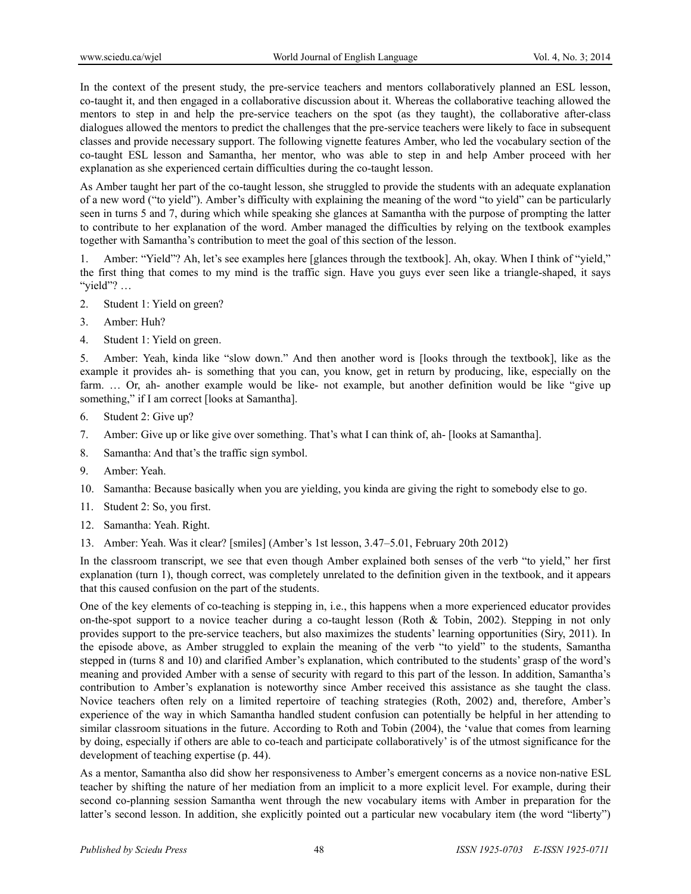In the context of the present study, the pre-service teachers and mentors collaboratively planned an ESL lesson, co-taught it, and then engaged in a collaborative discussion about it. Whereas the collaborative teaching allowed the mentors to step in and help the pre-service teachers on the spot (as they taught), the collaborative after-class dialogues allowed the mentors to predict the challenges that the pre-service teachers were likely to face in subsequent classes and provide necessary support. The following vignette features Amber, who led the vocabulary section of the co-taught ESL lesson and Samantha, her mentor, who was able to step in and help Amber proceed with her explanation as she experienced certain difficulties during the co-taught lesson.

As Amber taught her part of the co-taught lesson, she struggled to provide the students with an adequate explanation of a new word ("to yield"). Amber's difficulty with explaining the meaning of the word "to yield" can be particularly seen in turns 5 and 7, during which while speaking she glances at Samantha with the purpose of prompting the latter to contribute to her explanation of the word. Amber managed the difficulties by relying on the textbook examples together with Samantha's contribution to meet the goal of this section of the lesson.

1. Amber: "Yield"? Ah, let's see examples here [glances through the textbook]. Ah, okay. When I think of "yield," the first thing that comes to my mind is the traffic sign. Have you guys ever seen like a triangle-shaped, it says "yield"? …

- 2. Student 1: Yield on green?
- 3. Amber: Huh?
- 4. Student 1: Yield on green.

5. Amber: Yeah, kinda like "slow down." And then another word is [looks through the textbook], like as the example it provides ah- is something that you can, you know, get in return by producing, like, especially on the farm. … Or, ah- another example would be like- not example, but another definition would be like "give up something," if I am correct [looks at Samantha].

- 6. Student 2: Give up?
- 7. Amber: Give up or like give over something. That's what I can think of, ah- [looks at Samantha].
- 8. Samantha: And that's the traffic sign symbol.
- 9. Amber: Yeah.
- 10. Samantha: Because basically when you are yielding, you kinda are giving the right to somebody else to go.
- 11. Student 2: So, you first.
- 12. Samantha: Yeah. Right.
- 13. Amber: Yeah. Was it clear? [smiles] (Amber's 1st lesson, 3.47–5.01, February 20th 2012)

In the classroom transcript, we see that even though Amber explained both senses of the verb "to yield," her first explanation (turn 1), though correct, was completely unrelated to the definition given in the textbook, and it appears that this caused confusion on the part of the students.

One of the key elements of co-teaching is stepping in, i.e., this happens when a more experienced educator provides on-the-spot support to a novice teacher during a co-taught lesson (Roth & Tobin, 2002). Stepping in not only provides support to the pre-service teachers, but also maximizes the students' learning opportunities (Siry, 2011). In the episode above, as Amber struggled to explain the meaning of the verb "to yield" to the students, Samantha stepped in (turns 8 and 10) and clarified Amber's explanation, which contributed to the students' grasp of the word's meaning and provided Amber with a sense of security with regard to this part of the lesson. In addition, Samantha's contribution to Amber's explanation is noteworthy since Amber received this assistance as she taught the class. Novice teachers often rely on a limited repertoire of teaching strategies (Roth, 2002) and, therefore, Amber's experience of the way in which Samantha handled student confusion can potentially be helpful in her attending to similar classroom situations in the future. According to Roth and Tobin (2004), the 'value that comes from learning by doing, especially if others are able to co-teach and participate collaboratively' is of the utmost significance for the development of teaching expertise (p. 44).

As a mentor, Samantha also did show her responsiveness to Amber's emergent concerns as a novice non-native ESL teacher by shifting the nature of her mediation from an implicit to a more explicit level. For example, during their second co-planning session Samantha went through the new vocabulary items with Amber in preparation for the latter's second lesson. In addition, she explicitly pointed out a particular new vocabulary item (the word "liberty")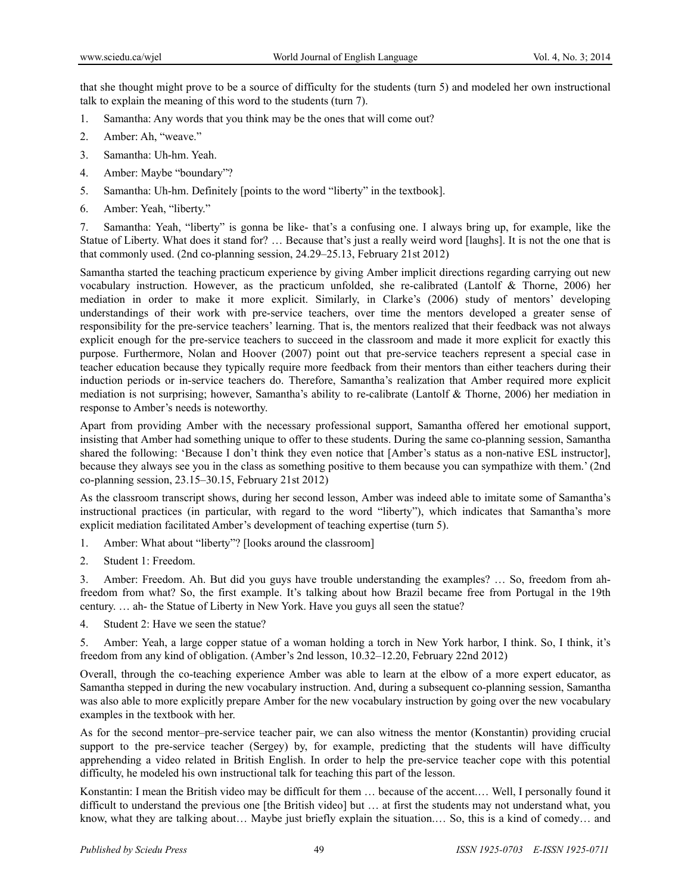that she thought might prove to be a source of difficulty for the students (turn 5) and modeled her own instructional talk to explain the meaning of this word to the students (turn 7).

- 1. Samantha: Any words that you think may be the ones that will come out?
- 2. Amber: Ah, "weave."
- 3. Samantha: Uh-hm. Yeah.
- 4. Amber: Maybe "boundary"?
- 5. Samantha: Uh-hm. Definitely [points to the word "liberty" in the textbook].
- 6. Amber: Yeah, "liberty."

7. Samantha: Yeah, "liberty" is gonna be like- that's a confusing one. I always bring up, for example, like the Statue of Liberty. What does it stand for? … Because that's just a really weird word [laughs]. It is not the one that is that commonly used. (2nd co-planning session, 24.29–25.13, February 21st 2012)

Samantha started the teaching practicum experience by giving Amber implicit directions regarding carrying out new vocabulary instruction. However, as the practicum unfolded, she re-calibrated (Lantolf & Thorne, 2006) her mediation in order to make it more explicit. Similarly, in Clarke's (2006) study of mentors' developing understandings of their work with pre-service teachers, over time the mentors developed a greater sense of responsibility for the pre-service teachers' learning. That is, the mentors realized that their feedback was not always explicit enough for the pre-service teachers to succeed in the classroom and made it more explicit for exactly this purpose. Furthermore, Nolan and Hoover (2007) point out that pre-service teachers represent a special case in teacher education because they typically require more feedback from their mentors than either teachers during their induction periods or in-service teachers do. Therefore, Samantha's realization that Amber required more explicit mediation is not surprising; however, Samantha's ability to re-calibrate (Lantolf & Thorne, 2006) her mediation in response to Amber's needs is noteworthy.

Apart from providing Amber with the necessary professional support, Samantha offered her emotional support, insisting that Amber had something unique to offer to these students. During the same co-planning session, Samantha shared the following: 'Because I don't think they even notice that [Amber's status as a non-native ESL instructor], because they always see you in the class as something positive to them because you can sympathize with them.' (2nd co-planning session, 23.15–30.15, February 21st 2012)

As the classroom transcript shows, during her second lesson, Amber was indeed able to imitate some of Samantha's instructional practices (in particular, with regard to the word "liberty"), which indicates that Samantha's more explicit mediation facilitated Amber's development of teaching expertise (turn 5).

- 1. Amber: What about "liberty"? [looks around the classroom]
- 2. Student 1: Freedom.

3. Amber: Freedom. Ah. But did you guys have trouble understanding the examples? … So, freedom from ahfreedom from what? So, the first example. It's talking about how Brazil became free from Portugal in the 19th century. … ah- the Statue of Liberty in New York. Have you guys all seen the statue?

4. Student 2: Have we seen the statue?

5. Amber: Yeah, a large copper statue of a woman holding a torch in New York harbor, I think. So, I think, it's freedom from any kind of obligation. (Amber's 2nd lesson, 10.32–12.20, February 22nd 2012)

Overall, through the co-teaching experience Amber was able to learn at the elbow of a more expert educator, as Samantha stepped in during the new vocabulary instruction. And, during a subsequent co-planning session, Samantha was also able to more explicitly prepare Amber for the new vocabulary instruction by going over the new vocabulary examples in the textbook with her.

As for the second mentor–pre-service teacher pair, we can also witness the mentor (Konstantin) providing crucial support to the pre-service teacher (Sergey) by, for example, predicting that the students will have difficulty apprehending a video related in British English. In order to help the pre-service teacher cope with this potential difficulty, he modeled his own instructional talk for teaching this part of the lesson.

Konstantin: I mean the British video may be difficult for them … because of the accent.… Well, I personally found it difficult to understand the previous one [the British video] but … at first the students may not understand what, you know, what they are talking about… Maybe just briefly explain the situation.… So, this is a kind of comedy… and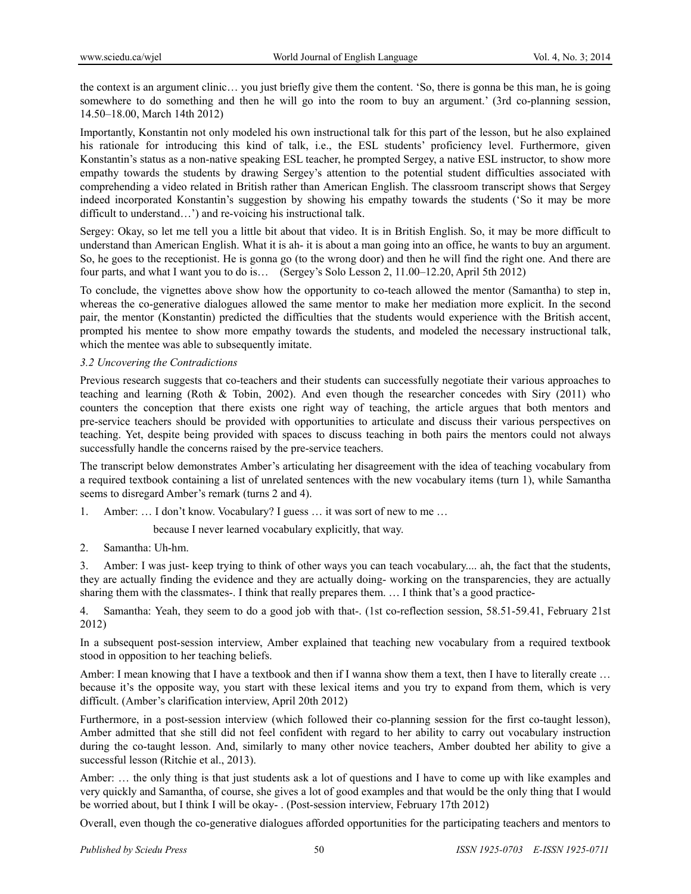the context is an argument clinic… you just briefly give them the content. 'So, there is gonna be this man, he is going somewhere to do something and then he will go into the room to buy an argument.' (3rd co-planning session, 14.50–18.00, March 14th 2012)

Importantly, Konstantin not only modeled his own instructional talk for this part of the lesson, but he also explained his rationale for introducing this kind of talk, i.e., the ESL students' proficiency level. Furthermore, given Konstantin's status as a non-native speaking ESL teacher, he prompted Sergey, a native ESL instructor, to show more empathy towards the students by drawing Sergey's attention to the potential student difficulties associated with comprehending a video related in British rather than American English. The classroom transcript shows that Sergey indeed incorporated Konstantin's suggestion by showing his empathy towards the students ('So it may be more difficult to understand…') and re-voicing his instructional talk.

Sergey: Okay, so let me tell you a little bit about that video. It is in British English. So, it may be more difficult to understand than American English. What it is ah- it is about a man going into an office, he wants to buy an argument. So, he goes to the receptionist. He is gonna go (to the wrong door) and then he will find the right one. And there are four parts, and what I want you to do is… (Sergey's Solo Lesson 2, 11.00–12.20, April 5th 2012)

To conclude, the vignettes above show how the opportunity to co-teach allowed the mentor (Samantha) to step in, whereas the co-generative dialogues allowed the same mentor to make her mediation more explicit. In the second pair, the mentor (Konstantin) predicted the difficulties that the students would experience with the British accent, prompted his mentee to show more empathy towards the students, and modeled the necessary instructional talk, which the mentee was able to subsequently imitate.

## *3.2 Uncovering the Contradictions*

Previous research suggests that co-teachers and their students can successfully negotiate their various approaches to teaching and learning (Roth & Tobin, 2002). And even though the researcher concedes with Siry (2011) who counters the conception that there exists one right way of teaching, the article argues that both mentors and pre-service teachers should be provided with opportunities to articulate and discuss their various perspectives on teaching. Yet, despite being provided with spaces to discuss teaching in both pairs the mentors could not always successfully handle the concerns raised by the pre-service teachers.

The transcript below demonstrates Amber's articulating her disagreement with the idea of teaching vocabulary from a required textbook containing a list of unrelated sentences with the new vocabulary items (turn 1), while Samantha seems to disregard Amber's remark (turns 2 and 4).

1. Amber: … I don't know. Vocabulary? I guess … it was sort of new to me …

because I never learned vocabulary explicitly, that way.

2. Samantha: Uh-hm.

3. Amber: I was just- keep trying to think of other ways you can teach vocabulary.... ah, the fact that the students, they are actually finding the evidence and they are actually doing- working on the transparencies, they are actually sharing them with the classmates-. I think that really prepares them. … I think that's a good practice-

4. Samantha: Yeah, they seem to do a good job with that-. (1st co-reflection session, 58.51-59.41, February 21st 2012)

In a subsequent post-session interview, Amber explained that teaching new vocabulary from a required textbook stood in opposition to her teaching beliefs.

Amber: I mean knowing that I have a textbook and then if I wanna show them a text, then I have to literally create ... because it's the opposite way, you start with these lexical items and you try to expand from them, which is very difficult. (Amber's clarification interview, April 20th 2012)

Furthermore, in a post-session interview (which followed their co-planning session for the first co-taught lesson), Amber admitted that she still did not feel confident with regard to her ability to carry out vocabulary instruction during the co-taught lesson. And, similarly to many other novice teachers, Amber doubted her ability to give a successful lesson (Ritchie et al., 2013).

Amber: … the only thing is that just students ask a lot of questions and I have to come up with like examples and very quickly and Samantha, of course, she gives a lot of good examples and that would be the only thing that I would be worried about, but I think I will be okay- . (Post-session interview, February 17th 2012)

Overall, even though the co-generative dialogues afforded opportunities for the participating teachers and mentors to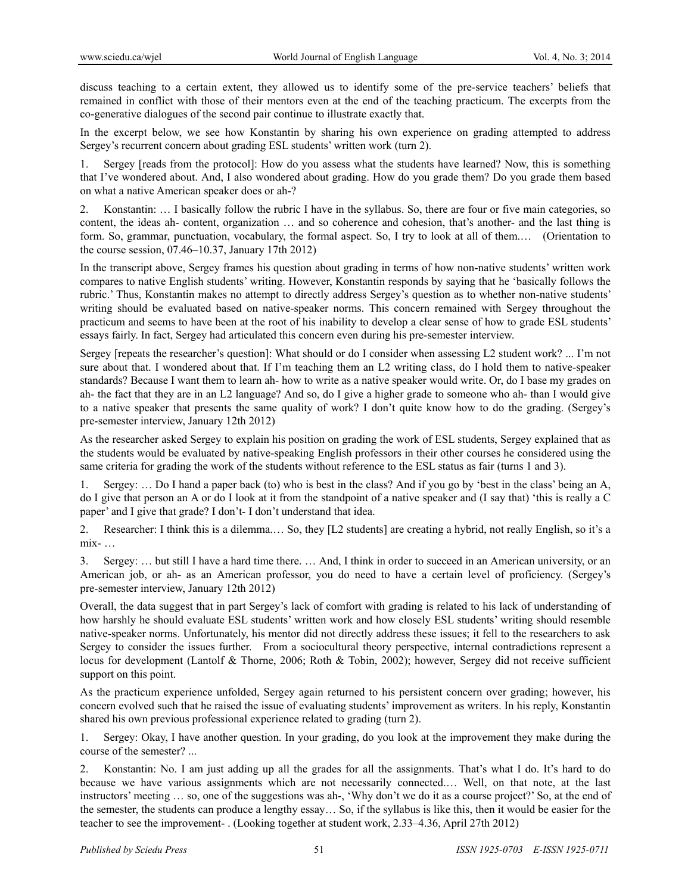discuss teaching to a certain extent, they allowed us to identify some of the pre-service teachers' beliefs that remained in conflict with those of their mentors even at the end of the teaching practicum. The excerpts from the co-generative dialogues of the second pair continue to illustrate exactly that.

In the excerpt below, we see how Konstantin by sharing his own experience on grading attempted to address Sergey's recurrent concern about grading ESL students' written work (turn 2).

Sergey [reads from the protocol]: How do you assess what the students have learned? Now, this is something that I've wondered about. And, I also wondered about grading. How do you grade them? Do you grade them based on what a native American speaker does or ah-?

2. Konstantin: … I basically follow the rubric I have in the syllabus. So, there are four or five main categories, so content, the ideas ah- content, organization … and so coherence and cohesion, that's another- and the last thing is form. So, grammar, punctuation, vocabulary, the formal aspect. So, I try to look at all of them.… (Orientation to the course session, 07.46–10.37, January 17th 2012)

In the transcript above, Sergey frames his question about grading in terms of how non-native students' written work compares to native English students' writing. However, Konstantin responds by saying that he 'basically follows the rubric.' Thus, Konstantin makes no attempt to directly address Sergey's question as to whether non-native students' writing should be evaluated based on native-speaker norms. This concern remained with Sergey throughout the practicum and seems to have been at the root of his inability to develop a clear sense of how to grade ESL students' essays fairly. In fact, Sergey had articulated this concern even during his pre-semester interview.

Sergey [repeats the researcher's question]: What should or do I consider when assessing L2 student work? ... I'm not sure about that. I wondered about that. If I'm teaching them an L2 writing class, do I hold them to native-speaker standards? Because I want them to learn ah- how to write as a native speaker would write. Or, do I base my grades on ah- the fact that they are in an L2 language? And so, do I give a higher grade to someone who ah- than I would give to a native speaker that presents the same quality of work? I don't quite know how to do the grading. (Sergey's pre-semester interview, January 12th 2012)

As the researcher asked Sergey to explain his position on grading the work of ESL students, Sergey explained that as the students would be evaluated by native-speaking English professors in their other courses he considered using the same criteria for grading the work of the students without reference to the ESL status as fair (turns 1 and 3).

1. Sergey: … Do I hand a paper back (to) who is best in the class? And if you go by 'best in the class' being an A, do I give that person an A or do I look at it from the standpoint of a native speaker and (I say that) 'this is really a C paper' and I give that grade? I don't- I don't understand that idea.

2. Researcher: I think this is a dilemma.… So, they [L2 students] are creating a hybrid, not really English, so it's a mix- …

3. Sergey: … but still I have a hard time there. … And, I think in order to succeed in an American university, or an American job, or ah- as an American professor, you do need to have a certain level of proficiency. (Sergey's pre-semester interview, January 12th 2012)

Overall, the data suggest that in part Sergey's lack of comfort with grading is related to his lack of understanding of how harshly he should evaluate ESL students' written work and how closely ESL students' writing should resemble native-speaker norms. Unfortunately, his mentor did not directly address these issues; it fell to the researchers to ask Sergey to consider the issues further. From a sociocultural theory perspective, internal contradictions represent a locus for development (Lantolf & Thorne, 2006; Roth & Tobin, 2002); however, Sergey did not receive sufficient support on this point.

As the practicum experience unfolded, Sergey again returned to his persistent concern over grading; however, his concern evolved such that he raised the issue of evaluating students' improvement as writers. In his reply, Konstantin shared his own previous professional experience related to grading (turn 2).

1. Sergey: Okay, I have another question. In your grading, do you look at the improvement they make during the course of the semester? ...

2. Konstantin: No. I am just adding up all the grades for all the assignments. That's what I do. It's hard to do because we have various assignments which are not necessarily connected.… Well, on that note, at the last instructors' meeting … so, one of the suggestions was ah-, 'Why don't we do it as a course project?' So, at the end of the semester, the students can produce a lengthy essay… So, if the syllabus is like this, then it would be easier for the teacher to see the improvement- . (Looking together at student work, 2.33–4.36, April 27th 2012)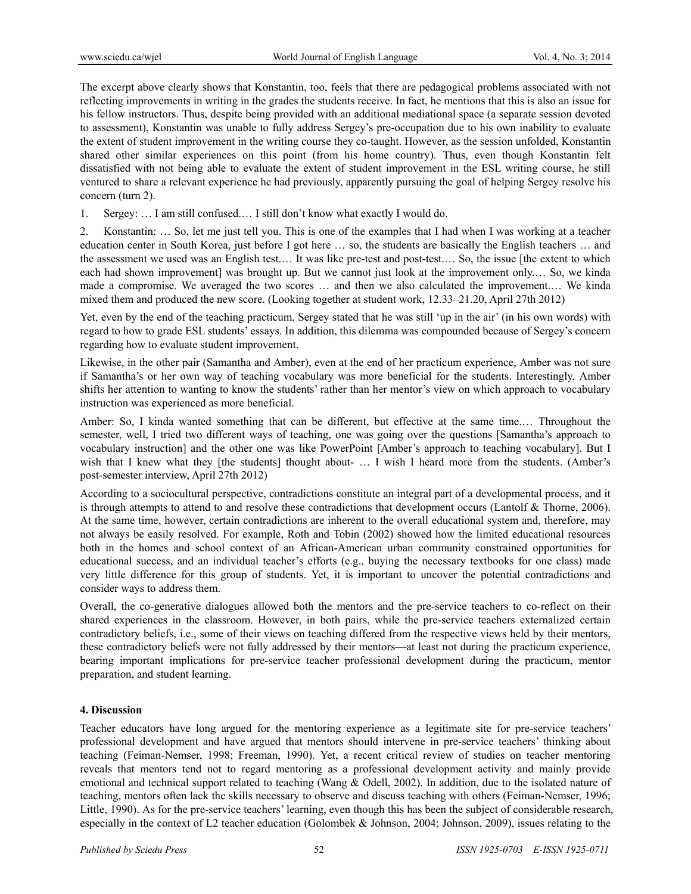The excerpt above clearly shows that Konstantin, too, feels that there are pedagogical problems associated with not reflecting improvements in writing in the grades the students receive. In fact, he mentions that this is also an issue for his fellow instructors. Thus, despite being provided with an additional mediational space (a separate session devoted to assessment), Konstantin was unable to fully address Sergey's pre-occupation due to his own inability to evaluate the extent of student improvement in the writing course they co-taught. However, as the session unfolded, Konstantin shared other similar experiences on this point (from his home country). Thus, even though Konstantin felt dissatisfied with not being able to evaluate the extent of student improvement in the ESL writing course, he still ventured to share a relevant experience he had previously, apparently pursuing the goal of helping Sergey resolve his concern (turn 2).

1. Sergey: … I am still confused.… I still don't know what exactly I would do.

2. Konstantin: … So, let me just tell you. This is one of the examples that I had when I was working at a teacher education center in South Korea, just before I got here … so, the students are basically the English teachers … and the assessment we used was an English test.… It was like pre-test and post-test.… So, the issue [the extent to which each had shown improvement] was brought up. But we cannot just look at the improvement only.… So, we kinda made a compromise. We averaged the two scores … and then we also calculated the improvement.… We kinda mixed them and produced the new score. (Looking together at student work, 12.33–21.20, April 27th 2012)

Yet, even by the end of the teaching practicum, Sergey stated that he was still 'up in the air' (in his own words) with regard to how to grade ESL students' essays. In addition, this dilemma was compounded because of Sergey's concern regarding how to evaluate student improvement.

Likewise, in the other pair (Samantha and Amber), even at the end of her practicum experience, Amber was not sure if Samantha's or her own way of teaching vocabulary was more beneficial for the students. Interestingly, Amber shifts her attention to wanting to know the students' rather than her mentor's view on which approach to vocabulary instruction was experienced as more beneficial.

Amber: So, I kinda wanted something that can be different, but effective at the same time.… Throughout the semester, well, I tried two different ways of teaching, one was going over the questions [Samantha's approach to vocabulary instruction] and the other one was like PowerPoint [Amber's approach to teaching vocabulary]. But I wish that I knew what they [the students] thought about- ... I wish I heard more from the students. (Amber's post-semester interview, April 27th 2012)

According to a sociocultural perspective, contradictions constitute an integral part of a developmental process, and it is through attempts to attend to and resolve these contradictions that development occurs (Lantolf & Thorne, 2006). At the same time, however, certain contradictions are inherent to the overall educational system and, therefore, may not always be easily resolved. For example, Roth and Tobin (2002) showed how the limited educational resources both in the homes and school context of an African-American urban community constrained opportunities for educational success, and an individual teacher's efforts (e.g., buying the necessary textbooks for one class) made very little difference for this group of students. Yet, it is important to uncover the potential contradictions and consider ways to address them.

Overall, the co-generative dialogues allowed both the mentors and the pre-service teachers to co-reflect on their shared experiences in the classroom. However, in both pairs, while the pre-service teachers externalized certain contradictory beliefs, i.e., some of their views on teaching differed from the respective views held by their mentors, these contradictory beliefs were not fully addressed by their mentors—at least not during the practicum experience, bearing important implications for pre-service teacher professional development during the practicum, mentor preparation, and student learning.

## **4. Discussion**

Teacher educators have long argued for the mentoring experience as a legitimate site for pre-service teachers' professional development and have argued that mentors should intervene in pre-service teachers' thinking about teaching (Feiman-Nemser, 1998; Freeman, 1990). Yet, a recent critical review of studies on teacher mentoring reveals that mentors tend not to regard mentoring as a professional development activity and mainly provide emotional and technical support related to teaching (Wang & Odell, 2002). In addition, due to the isolated nature of teaching, mentors often lack the skills necessary to observe and discuss teaching with others (Feiman-Nemser, 1996; Little, 1990). As for the pre-service teachers' learning, even though this has been the subject of considerable research, especially in the context of L2 teacher education (Golombek & Johnson, 2004; Johnson, 2009), issues relating to the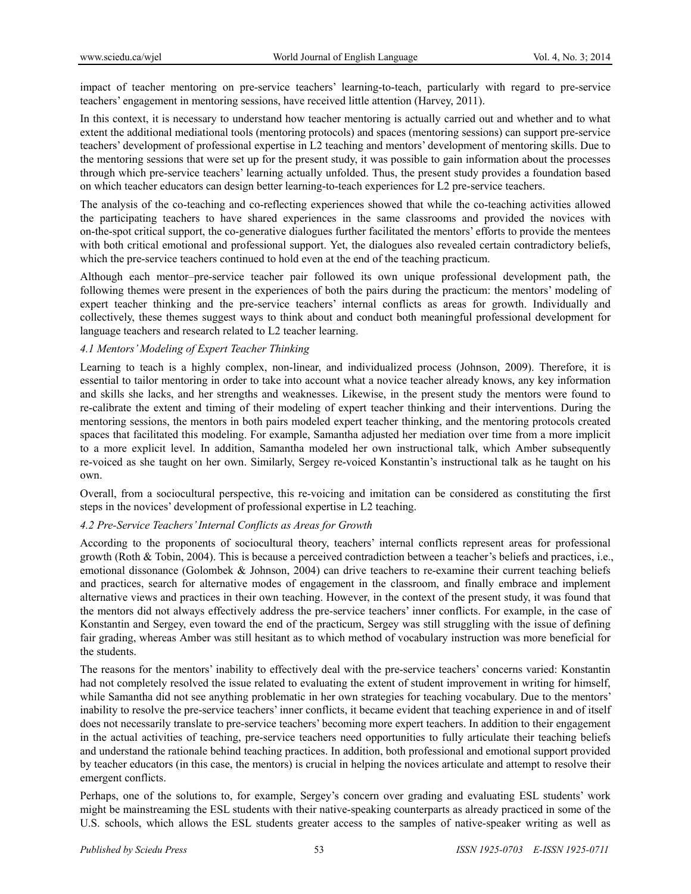impact of teacher mentoring on pre-service teachers' learning-to-teach, particularly with regard to pre-service teachers' engagement in mentoring sessions, have received little attention (Harvey, 2011).

In this context, it is necessary to understand how teacher mentoring is actually carried out and whether and to what extent the additional mediational tools (mentoring protocols) and spaces (mentoring sessions) can support pre-service teachers' development of professional expertise in L2 teaching and mentors' development of mentoring skills. Due to the mentoring sessions that were set up for the present study, it was possible to gain information about the processes through which pre-service teachers' learning actually unfolded. Thus, the present study provides a foundation based on which teacher educators can design better learning-to-teach experiences for L2 pre-service teachers.

The analysis of the co-teaching and co-reflecting experiences showed that while the co-teaching activities allowed the participating teachers to have shared experiences in the same classrooms and provided the novices with on-the-spot critical support, the co-generative dialogues further facilitated the mentors' efforts to provide the mentees with both critical emotional and professional support. Yet, the dialogues also revealed certain contradictory beliefs, which the pre-service teachers continued to hold even at the end of the teaching practicum.

Although each mentor–pre-service teacher pair followed its own unique professional development path, the following themes were present in the experiences of both the pairs during the practicum: the mentors' modeling of expert teacher thinking and the pre-service teachers' internal conflicts as areas for growth. Individually and collectively, these themes suggest ways to think about and conduct both meaningful professional development for language teachers and research related to L2 teacher learning.

# *4.1 Mentors' Modeling of Expert Teacher Thinking*

Learning to teach is a highly complex, non-linear, and individualized process (Johnson, 2009). Therefore, it is essential to tailor mentoring in order to take into account what a novice teacher already knows, any key information and skills she lacks, and her strengths and weaknesses. Likewise, in the present study the mentors were found to re-calibrate the extent and timing of their modeling of expert teacher thinking and their interventions. During the mentoring sessions, the mentors in both pairs modeled expert teacher thinking, and the mentoring protocols created spaces that facilitated this modeling. For example, Samantha adjusted her mediation over time from a more implicit to a more explicit level. In addition, Samantha modeled her own instructional talk, which Amber subsequently re-voiced as she taught on her own. Similarly, Sergey re-voiced Konstantin's instructional talk as he taught on his own.

Overall, from a sociocultural perspective, this re-voicing and imitation can be considered as constituting the first steps in the novices' development of professional expertise in L2 teaching.

## *4.2 Pre-Service Teachers' Internal Conflicts as Areas for Growth*

According to the proponents of sociocultural theory, teachers' internal conflicts represent areas for professional growth (Roth & Tobin, 2004). This is because a perceived contradiction between a teacher's beliefs and practices, i.e., emotional dissonance (Golombek & Johnson, 2004) can drive teachers to re-examine their current teaching beliefs and practices, search for alternative modes of engagement in the classroom, and finally embrace and implement alternative views and practices in their own teaching. However, in the context of the present study, it was found that the mentors did not always effectively address the pre-service teachers' inner conflicts. For example, in the case of Konstantin and Sergey, even toward the end of the practicum, Sergey was still struggling with the issue of defining fair grading, whereas Amber was still hesitant as to which method of vocabulary instruction was more beneficial for the students.

The reasons for the mentors' inability to effectively deal with the pre-service teachers' concerns varied: Konstantin had not completely resolved the issue related to evaluating the extent of student improvement in writing for himself, while Samantha did not see anything problematic in her own strategies for teaching vocabulary. Due to the mentors' inability to resolve the pre-service teachers' inner conflicts, it became evident that teaching experience in and of itself does not necessarily translate to pre-service teachers' becoming more expert teachers. In addition to their engagement in the actual activities of teaching, pre-service teachers need opportunities to fully articulate their teaching beliefs and understand the rationale behind teaching practices. In addition, both professional and emotional support provided by teacher educators (in this case, the mentors) is crucial in helping the novices articulate and attempt to resolve their emergent conflicts.

Perhaps, one of the solutions to, for example, Sergey's concern over grading and evaluating ESL students' work might be mainstreaming the ESL students with their native-speaking counterparts as already practiced in some of the U.S. schools, which allows the ESL students greater access to the samples of native-speaker writing as well as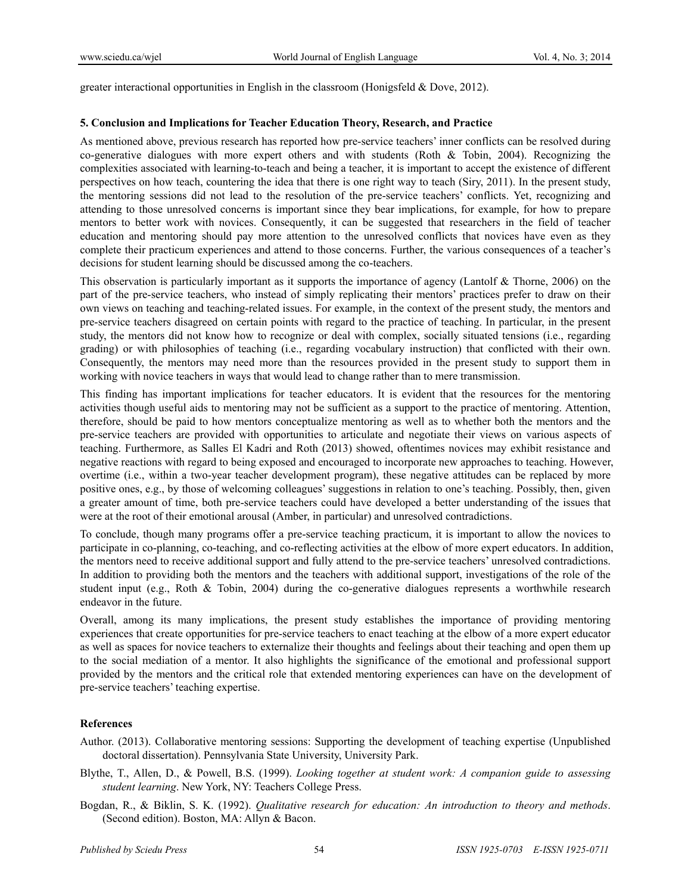greater interactional opportunities in English in the classroom (Honigsfeld & Dove, 2012).

#### **5. Conclusion and Implications for Teacher Education Theory, Research, and Practice**

As mentioned above, previous research has reported how pre-service teachers' inner conflicts can be resolved during co-generative dialogues with more expert others and with students (Roth  $\&$  Tobin, 2004). Recognizing the complexities associated with learning-to-teach and being a teacher, it is important to accept the existence of different perspectives on how teach, countering the idea that there is one right way to teach (Siry, 2011). In the present study, the mentoring sessions did not lead to the resolution of the pre-service teachers' conflicts. Yet, recognizing and attending to those unresolved concerns is important since they bear implications, for example, for how to prepare mentors to better work with novices. Consequently, it can be suggested that researchers in the field of teacher education and mentoring should pay more attention to the unresolved conflicts that novices have even as they complete their practicum experiences and attend to those concerns. Further, the various consequences of a teacher's decisions for student learning should be discussed among the co-teachers.

This observation is particularly important as it supports the importance of agency (Lantolf & Thorne, 2006) on the part of the pre-service teachers, who instead of simply replicating their mentors' practices prefer to draw on their own views on teaching and teaching-related issues. For example, in the context of the present study, the mentors and pre-service teachers disagreed on certain points with regard to the practice of teaching. In particular, in the present study, the mentors did not know how to recognize or deal with complex, socially situated tensions (i.e., regarding grading) or with philosophies of teaching (i.e., regarding vocabulary instruction) that conflicted with their own. Consequently, the mentors may need more than the resources provided in the present study to support them in working with novice teachers in ways that would lead to change rather than to mere transmission.

This finding has important implications for teacher educators. It is evident that the resources for the mentoring activities though useful aids to mentoring may not be sufficient as a support to the practice of mentoring. Attention, therefore, should be paid to how mentors conceptualize mentoring as well as to whether both the mentors and the pre-service teachers are provided with opportunities to articulate and negotiate their views on various aspects of teaching. Furthermore, as Salles El Kadri and Roth (2013) showed, oftentimes novices may exhibit resistance and negative reactions with regard to being exposed and encouraged to incorporate new approaches to teaching. However, overtime (i.e., within a two-year teacher development program), these negative attitudes can be replaced by more positive ones, e.g., by those of welcoming colleagues' suggestions in relation to one's teaching. Possibly, then, given a greater amount of time, both pre-service teachers could have developed a better understanding of the issues that were at the root of their emotional arousal (Amber, in particular) and unresolved contradictions.

To conclude, though many programs offer a pre-service teaching practicum, it is important to allow the novices to participate in co-planning, co-teaching, and co-reflecting activities at the elbow of more expert educators. In addition, the mentors need to receive additional support and fully attend to the pre-service teachers' unresolved contradictions. In addition to providing both the mentors and the teachers with additional support, investigations of the role of the student input (e.g., Roth & Tobin, 2004) during the co-generative dialogues represents a worthwhile research endeavor in the future.

Overall, among its many implications, the present study establishes the importance of providing mentoring experiences that create opportunities for pre-service teachers to enact teaching at the elbow of a more expert educator as well as spaces for novice teachers to externalize their thoughts and feelings about their teaching and open them up to the social mediation of a mentor. It also highlights the significance of the emotional and professional support provided by the mentors and the critical role that extended mentoring experiences can have on the development of pre-service teachers' teaching expertise.

#### **References**

- Author. (2013). Collaborative mentoring sessions: Supporting the development of teaching expertise (Unpublished doctoral dissertation). Pennsylvania State University, University Park.
- Blythe, T., Allen, D., & Powell, B.S. (1999). *Looking together at student work: A companion guide to assessing student learning*. New York, NY: Teachers College Press.
- Bogdan, R., & Biklin, S. K. (1992). *Qualitative research for education: An introduction to theory and methods*. (Second edition). Boston, MA: Allyn & Bacon.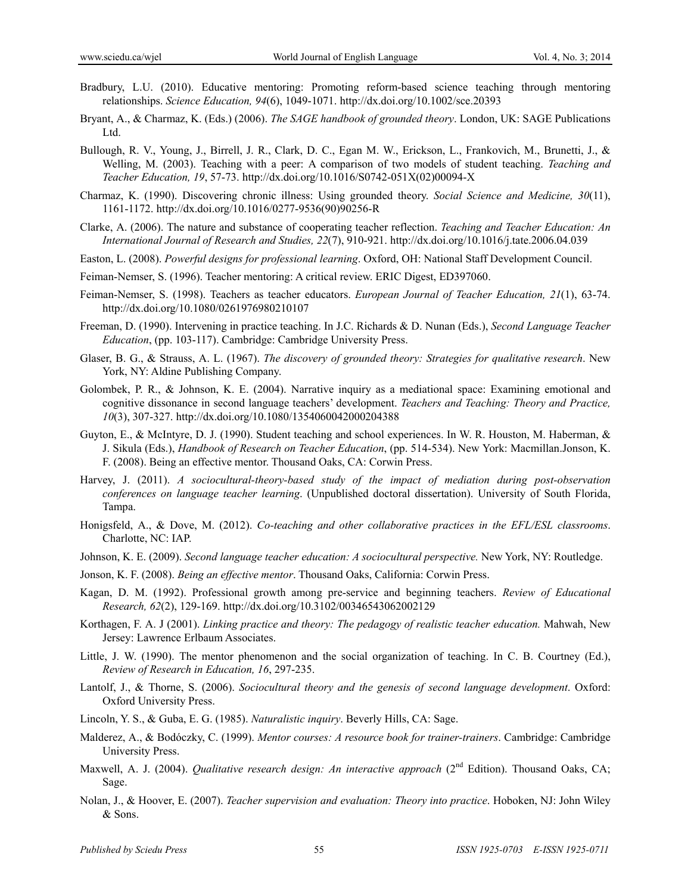- Bradbury, L.U. (2010). Educative mentoring: Promoting reform-based science teaching through mentoring relationships. *Science Education, 94*(6), 1049-1071. http://dx.doi.org/10.1002/sce.20393
- Bryant, A., & Charmaz, K. (Eds.) (2006). *The SAGE handbook of grounded theory*. London, UK: SAGE Publications Ltd.
- Bullough, R. V., Young, J., Birrell, J. R., Clark, D. C., Egan M. W., Erickson, L., Frankovich, M., Brunetti, J., & Welling, M. (2003). Teaching with a peer: A comparison of two models of student teaching. *Teaching and Teacher Education, 19*, 57-73. http://dx.doi.org/10.1016/S0742-051X(02)00094-X
- Charmaz, K. (1990). Discovering chronic illness: Using grounded theory. *Social Science and Medicine, 30*(11), 1161-1172. http://dx.doi.org/10.1016/0277-9536(90)90256-R
- Clarke, A. (2006). The nature and substance of cooperating teacher reflection. *Teaching and Teacher Education: An International Journal of Research and Studies, 22*(7), 910-921. http://dx.doi.org/10.1016/j.tate.2006.04.039
- Easton, L. (2008). *Powerful designs for professional learning*. Oxford, OH: National Staff Development Council.
- Feiman-Nemser, S. (1996). Teacher mentoring: A critical review. ERIC Digest, ED397060.
- Feiman-Nemser, S. (1998). Teachers as teacher educators. *European Journal of Teacher Education, 21*(1), 63-74. http://dx.doi.org/10.1080/0261976980210107
- Freeman, D. (1990). Intervening in practice teaching. In J.C. Richards & D. Nunan (Eds.), *Second Language Teacher Education*, (pp. 103-117). Cambridge: Cambridge University Press.
- Glaser, B. G., & Strauss, A. L. (1967). *The discovery of grounded theory: Strategies for qualitative research*. New York, NY: Aldine Publishing Company.
- Golombek, P. R., & Johnson, K. E. (2004). Narrative inquiry as a mediational space: Examining emotional and cognitive dissonance in second language teachers' development. *Teachers and Teaching: Theory and Practice, 10*(3), 307-327. http://dx.doi.org/10.1080/1354060042000204388
- Guyton, E., & McIntyre, D. J. (1990). Student teaching and school experiences. In W. R. Houston, M. Haberman, & J. Sikula (Eds.), *Handbook of Research on Teacher Education*, (pp. 514-534). New York: Macmillan.Jonson, K. F. (2008). Being an effective mentor. Thousand Oaks, CA: Corwin Press.
- Harvey, J. (2011). *A sociocultural-theory-based study of the impact of mediation during post-observation conferences on language teacher learning*. (Unpublished doctoral dissertation). University of South Florida, Tampa.
- Honigsfeld, A., & Dove, M. (2012). *Co-teaching and other collaborative practices in the EFL/ESL classrooms*. Charlotte, NC: IAP.
- Johnson, K. E. (2009). *Second language teacher education: A sociocultural perspective.* New York, NY: Routledge.
- Jonson, K. F. (2008). *Being an effective mentor*. Thousand Oaks, California: Corwin Press.
- Kagan, D. M. (1992). Professional growth among pre-service and beginning teachers. *Review of Educational Research, 62*(2), 129-169. http://dx.doi.org/10.3102/00346543062002129
- Korthagen, F. A. J (2001). *Linking practice and theory: The pedagogy of realistic teacher education.* Mahwah, New Jersey: Lawrence Erlbaum Associates.
- Little, J. W. (1990). The mentor phenomenon and the social organization of teaching. In C. B. Courtney (Ed.), *Review of Research in Education, 16*, 297-235.
- Lantolf, J., & Thorne, S. (2006). *Sociocultural theory and the genesis of second language development*. Oxford: Oxford University Press.
- Lincoln, Y. S., & Guba, E. G. (1985). *Naturalistic inquiry*. Beverly Hills, CA: Sage.
- Malderez, A., & Bodóczky, C. (1999). *Mentor courses: A resource book for trainer-trainers*. Cambridge: Cambridge University Press.
- Maxwell, A. J. (2004). *Qualitative research design: An interactive approach* (2<sup>nd</sup> Edition). Thousand Oaks, CA; Sage.
- Nolan, J., & Hoover, E. (2007). *Teacher supervision and evaluation: Theory into practice*. Hoboken, NJ: John Wiley & Sons.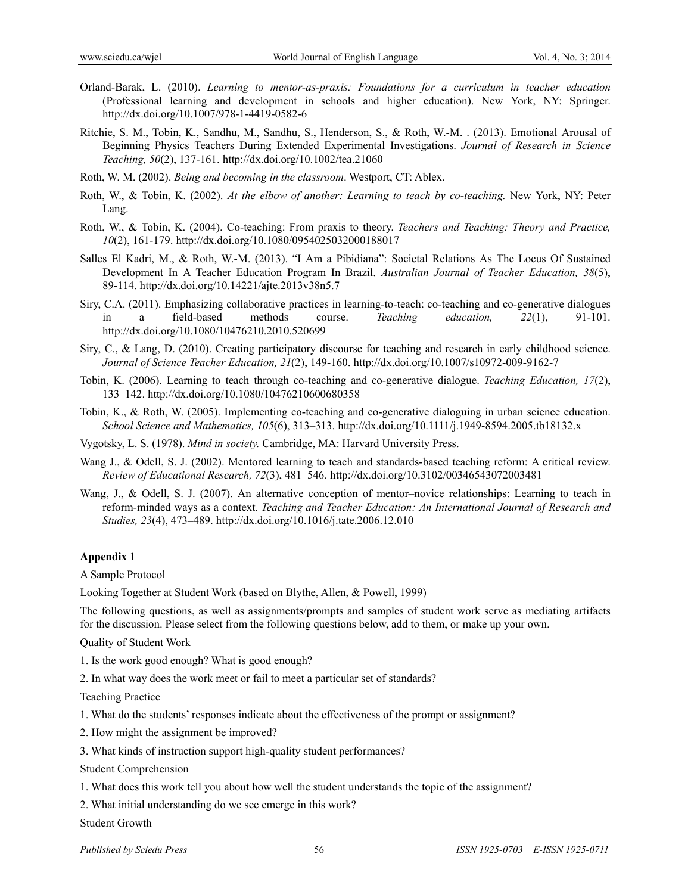- Orland-Barak, L. (2010). *Learning to mentor-as-praxis: Foundations for a curriculum in teacher education* (Professional learning and development in schools and higher education). New York, NY: Springer. http://dx.doi.org/10.1007/978-1-4419-0582-6
- Ritchie, S. M., Tobin, K., Sandhu, M., Sandhu, S., Henderson, S., & Roth, W.-M. . (2013). Emotional Arousal of Beginning Physics Teachers During Extended Experimental Investigations. *Journal of Research in Science Teaching, 50*(2), 137-161. http://dx.doi.org/10.1002/tea.21060
- Roth, W. M. (2002). *Being and becoming in the classroom*. Westport, CT: Ablex.
- Roth, W., & Tobin, K. (2002). *At the elbow of another: Learning to teach by co-teaching.* New York, NY: Peter Lang.
- Roth, W., & Tobin, K. (2004). Co-teaching: From praxis to theory. *Teachers and Teaching: Theory and Practice, 10*(2), 161-179. http://dx.doi.org/10.1080/0954025032000188017
- Salles El Kadri, M., & Roth, W.-M. (2013). "I Am a Pibidiana": Societal Relations As The Locus Of Sustained Development In A Teacher Education Program In Brazil. *Australian Journal of Teacher Education, 38*(5), 89-114. http://dx.doi.org/10.14221/ajte.2013v38n5.7
- Siry, C.A. (2011). Emphasizing collaborative practices in learning-to-teach: co-teaching and co-generative dialogues in a field-based methods course. *Teaching education, 22*(1), 91-101. http://dx.doi.org/10.1080/10476210.2010.520699
- Siry, C., & Lang, D. (2010). Creating participatory discourse for teaching and research in early childhood science. *Journal of Science Teacher Education, 21*(2), 149-160. http://dx.doi.org/10.1007/s10972-009-9162-7
- Tobin, K. (2006). Learning to teach through co-teaching and co-generative dialogue. *Teaching Education, 17*(2), 133–142. http://dx.doi.org/10.1080/10476210600680358
- Tobin, K., & Roth, W. (2005). Implementing co-teaching and co-generative dialoguing in urban science education. *School Science and Mathematics, 105*(6), 313–313. http://dx.doi.org/10.1111/j.1949-8594.2005.tb18132.x
- Vygotsky, L. S. (1978). *Mind in society.* Cambridge, MA: Harvard University Press.
- Wang J., & Odell, S. J. (2002). Mentored learning to teach and standards-based teaching reform: A critical review. *Review of Educational Research, 72*(3), 481–546. http://dx.doi.org/10.3102/00346543072003481
- Wang, J., & Odell, S. J. (2007). An alternative conception of mentor–novice relationships: Learning to teach in reform-minded ways as a context. *Teaching and Teacher Education: An International Journal of Research and Studies, 23*(4), 473–489. http://dx.doi.org/10.1016/j.tate.2006.12.010

#### **Appendix 1**

A Sample Protocol

Looking Together at Student Work (based on Blythe, Allen, & Powell, 1999)

The following questions, as well as assignments/prompts and samples of student work serve as mediating artifacts for the discussion. Please select from the following questions below, add to them, or make up your own.

Quality of Student Work

- 1. Is the work good enough? What is good enough?
- 2. In what way does the work meet or fail to meet a particular set of standards?

Teaching Practice

- 1. What do the students' responses indicate about the effectiveness of the prompt or assignment?
- 2. How might the assignment be improved?
- 3. What kinds of instruction support high-quality student performances?

Student Comprehension

- 1. What does this work tell you about how well the student understands the topic of the assignment?
- 2. What initial understanding do we see emerge in this work?

Student Growth